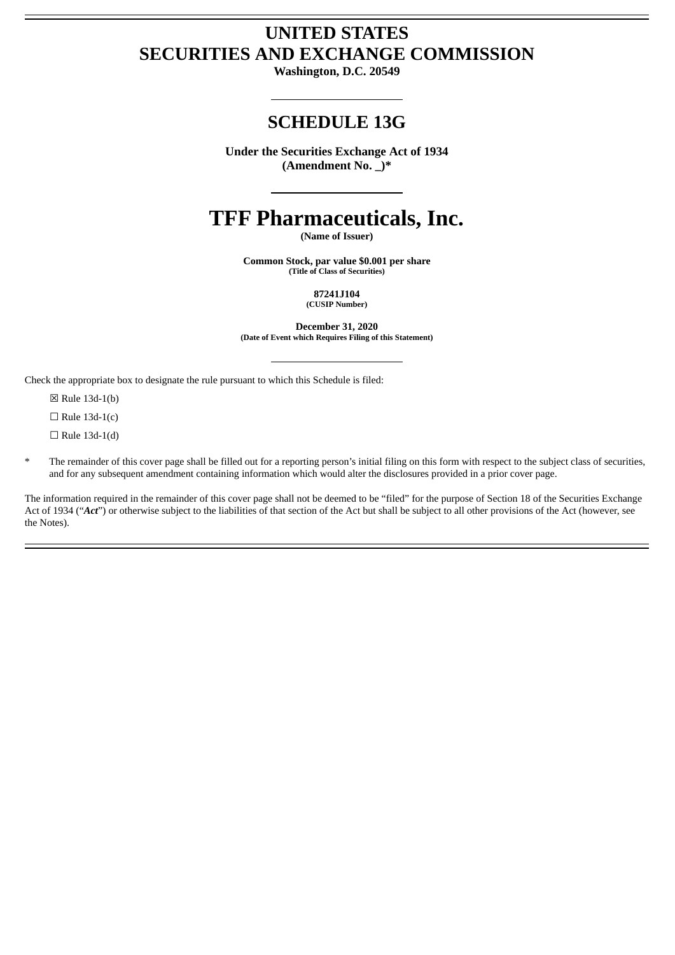# **UNITED STATES SECURITIES AND EXCHANGE COMMISSION**

**Washington, D.C. 20549**

# **SCHEDULE 13G**

**Under the Securities Exchange Act of 1934 (Amendment No. \_)\***

# **TFF Pharmaceuticals, Inc.**

**(Name of Issuer)**

**Common Stock, par value \$0.001 per share (Title of Class of Securities)**

> **87241J104 (CUSIP Number)**

**December 31, 2020 (Date of Event which Requires Filing of this Statement)**

Check the appropriate box to designate the rule pursuant to which this Schedule is filed:

☒ Rule 13d-1(b)

 $\Box$  Rule 13d-1(c)

 $\Box$  Rule 13d-1(d)

The remainder of this cover page shall be filled out for a reporting person's initial filing on this form with respect to the subject class of securities, and for any subsequent amendment containing information which would alter the disclosures provided in a prior cover page.

The information required in the remainder of this cover page shall not be deemed to be "filed" for the purpose of Section 18 of the Securities Exchange Act of 1934 ("Act") or otherwise subject to the liabilities of that section of the Act but shall be subject to all other provisions of the Act (however, see the Notes).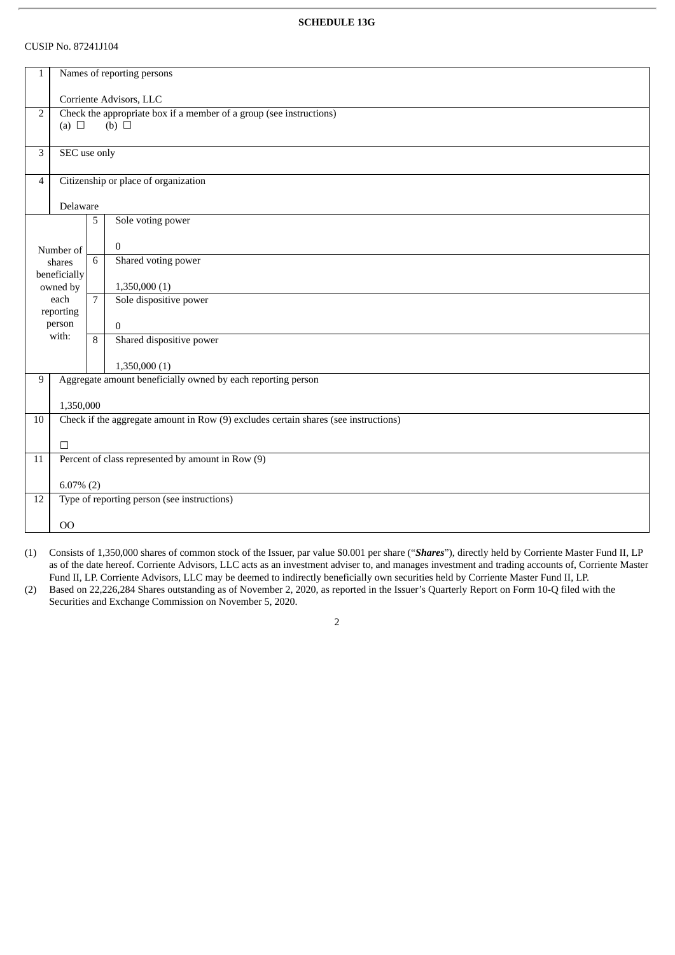## CUSIP No. 87241J104

| $\mathbf{1}$   | Names of reporting persons                                   |                                                                     |                                                                                     |  |  |  |  |
|----------------|--------------------------------------------------------------|---------------------------------------------------------------------|-------------------------------------------------------------------------------------|--|--|--|--|
|                |                                                              |                                                                     |                                                                                     |  |  |  |  |
|                |                                                              | Corriente Advisors, LLC                                             |                                                                                     |  |  |  |  |
| $\overline{2}$ |                                                              | Check the appropriate box if a member of a group (see instructions) |                                                                                     |  |  |  |  |
|                | (a) $\Box$                                                   |                                                                     | $(b)$ $\square$                                                                     |  |  |  |  |
|                |                                                              |                                                                     |                                                                                     |  |  |  |  |
| 3              | SEC use only                                                 |                                                                     |                                                                                     |  |  |  |  |
|                |                                                              |                                                                     |                                                                                     |  |  |  |  |
| $\overline{4}$ | Citizenship or place of organization                         |                                                                     |                                                                                     |  |  |  |  |
|                |                                                              |                                                                     |                                                                                     |  |  |  |  |
| Delaware       |                                                              |                                                                     |                                                                                     |  |  |  |  |
|                |                                                              | 5                                                                   | Sole voting power                                                                   |  |  |  |  |
|                |                                                              |                                                                     |                                                                                     |  |  |  |  |
|                | Number of                                                    |                                                                     | $\mathbf{0}$                                                                        |  |  |  |  |
|                | shares                                                       | 6                                                                   | Shared voting power                                                                 |  |  |  |  |
|                | beneficially                                                 |                                                                     |                                                                                     |  |  |  |  |
|                | owned by                                                     |                                                                     | 1,350,000(1)                                                                        |  |  |  |  |
|                | each                                                         | $\overline{7}$                                                      | Sole dispositive power                                                              |  |  |  |  |
|                | reporting                                                    |                                                                     |                                                                                     |  |  |  |  |
|                | person                                                       |                                                                     | $\mathbf{0}$                                                                        |  |  |  |  |
|                | with:                                                        | 8                                                                   | Shared dispositive power                                                            |  |  |  |  |
|                |                                                              |                                                                     |                                                                                     |  |  |  |  |
|                |                                                              |                                                                     | 1,350,000(1)                                                                        |  |  |  |  |
| 9              | Aggregate amount beneficially owned by each reporting person |                                                                     |                                                                                     |  |  |  |  |
|                |                                                              |                                                                     |                                                                                     |  |  |  |  |
|                | 1,350,000                                                    |                                                                     |                                                                                     |  |  |  |  |
| 10             |                                                              |                                                                     | Check if the aggregate amount in Row (9) excludes certain shares (see instructions) |  |  |  |  |
|                | $\Box$                                                       |                                                                     |                                                                                     |  |  |  |  |
|                |                                                              |                                                                     |                                                                                     |  |  |  |  |
| 11             | Percent of class represented by amount in Row (9)            |                                                                     |                                                                                     |  |  |  |  |
|                |                                                              |                                                                     |                                                                                     |  |  |  |  |
| 12             | $6.07\%$ (2)                                                 |                                                                     |                                                                                     |  |  |  |  |
|                | Type of reporting person (see instructions)                  |                                                                     |                                                                                     |  |  |  |  |
|                | 00                                                           |                                                                     |                                                                                     |  |  |  |  |
|                |                                                              |                                                                     |                                                                                     |  |  |  |  |

(1) Consists of 1,350,000 shares of common stock of the Issuer, par value \$0.001 per share ("*Shares*"), directly held by Corriente Master Fund II, LP as of the date hereof. Corriente Advisors, LLC acts as an investment adviser to, and manages investment and trading accounts of, Corriente Master Fund II, LP. Corriente Advisors, LLC may be deemed to indirectly beneficially own securities held by Corriente Master Fund II, LP.

(2) Based on 22,226,284 Shares outstanding as of November 2, 2020, as reported in the Issuer's Quarterly Report on Form 10-Q filed with the Securities and Exchange Commission on November 5, 2020.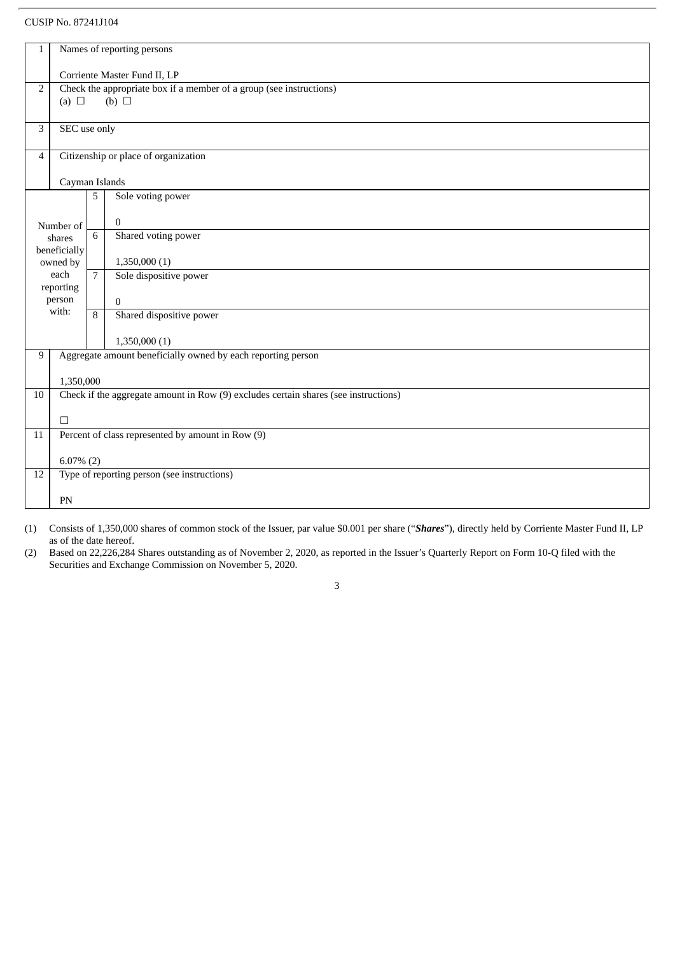# CUSIP No. 87241J104

| $\mathbf{1}$                                      | Names of reporting persons                                               |                                      |                                                                                     |  |  |  |
|---------------------------------------------------|--------------------------------------------------------------------------|--------------------------------------|-------------------------------------------------------------------------------------|--|--|--|
|                                                   | Corriente Master Fund II, LP                                             |                                      |                                                                                     |  |  |  |
|                                                   | Check the appropriate box if a member of a group (see instructions)<br>2 |                                      |                                                                                     |  |  |  |
|                                                   | (b) $\Box$<br>(a) $\Box$                                                 |                                      |                                                                                     |  |  |  |
| 3                                                 | SEC use only                                                             |                                      |                                                                                     |  |  |  |
| $\overline{4}$                                    |                                                                          | Citizenship or place of organization |                                                                                     |  |  |  |
|                                                   |                                                                          | Cayman Islands                       |                                                                                     |  |  |  |
|                                                   |                                                                          | 5                                    | Sole voting power                                                                   |  |  |  |
|                                                   | Number of                                                                |                                      | $\mathbf{0}$                                                                        |  |  |  |
|                                                   | shares<br>beneficially                                                   | 6                                    | Shared voting power                                                                 |  |  |  |
|                                                   | owned by                                                                 |                                      | 1,350,000(1)                                                                        |  |  |  |
|                                                   | each<br>reporting                                                        | $\overline{7}$                       | Sole dispositive power                                                              |  |  |  |
|                                                   | person                                                                   |                                      | $\overline{0}$                                                                      |  |  |  |
| with:                                             |                                                                          | 8                                    | Shared dispositive power                                                            |  |  |  |
|                                                   |                                                                          |                                      | 1,350,000(1)                                                                        |  |  |  |
| 9                                                 | Aggregate amount beneficially owned by each reporting person             |                                      |                                                                                     |  |  |  |
|                                                   | 1,350,000                                                                |                                      |                                                                                     |  |  |  |
| 10                                                |                                                                          |                                      | Check if the aggregate amount in Row (9) excludes certain shares (see instructions) |  |  |  |
|                                                   | $\Box$                                                                   |                                      |                                                                                     |  |  |  |
| 11                                                |                                                                          |                                      | Percent of class represented by amount in Row (9)                                   |  |  |  |
|                                                   | $6.07\%$ (2)                                                             |                                      |                                                                                     |  |  |  |
| Type of reporting person (see instructions)<br>12 |                                                                          |                                      |                                                                                     |  |  |  |
|                                                   | PN                                                                       |                                      |                                                                                     |  |  |  |

(1) Consists of 1,350,000 shares of common stock of the Issuer, par value \$0.001 per share ("*Shares*"), directly held by Corriente Master Fund II, LP as of the date hereof.

3

(2) Based on 22,226,284 Shares outstanding as of November 2, 2020, as reported in the Issuer's Quarterly Report on Form 10-Q filed with the Securities and Exchange Commission on November 5, 2020.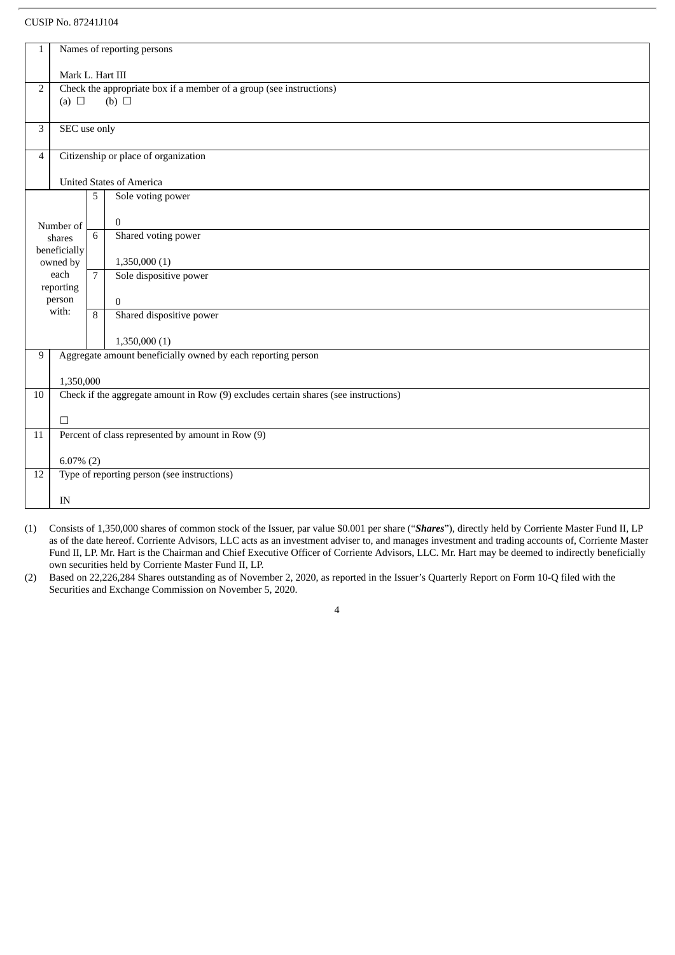#### CUSIP No. 87241J104

| $\mathbf{1}$                                           | Names of reporting persons                                                          |                  |                                                                     |  |  |  |  |
|--------------------------------------------------------|-------------------------------------------------------------------------------------|------------------|---------------------------------------------------------------------|--|--|--|--|
|                                                        |                                                                                     | Mark L. Hart III |                                                                     |  |  |  |  |
| $\overline{2}$                                         |                                                                                     |                  | Check the appropriate box if a member of a group (see instructions) |  |  |  |  |
|                                                        | (a) $\Box$                                                                          |                  | $(b)$ $\square$                                                     |  |  |  |  |
| 3                                                      | SEC use only                                                                        |                  |                                                                     |  |  |  |  |
| Citizenship or place of organization<br>$\overline{4}$ |                                                                                     |                  |                                                                     |  |  |  |  |
|                                                        |                                                                                     |                  |                                                                     |  |  |  |  |
|                                                        |                                                                                     |                  | <b>United States of America</b>                                     |  |  |  |  |
|                                                        |                                                                                     | 5                | Sole voting power                                                   |  |  |  |  |
|                                                        | Number of                                                                           |                  | $\Omega$                                                            |  |  |  |  |
|                                                        | shares                                                                              | 6                | Shared voting power                                                 |  |  |  |  |
|                                                        | beneficially<br>owned by                                                            |                  | 1,350,000(1)                                                        |  |  |  |  |
|                                                        | each<br>reporting                                                                   | $\overline{7}$   | Sole dispositive power                                              |  |  |  |  |
|                                                        | person                                                                              |                  | $\mathbf{0}$                                                        |  |  |  |  |
|                                                        | with:                                                                               | 8                | Shared dispositive power                                            |  |  |  |  |
|                                                        |                                                                                     |                  | 1,350,000(1)                                                        |  |  |  |  |
| 9                                                      | Aggregate amount beneficially owned by each reporting person                        |                  |                                                                     |  |  |  |  |
|                                                        | 1,350,000                                                                           |                  |                                                                     |  |  |  |  |
| 10                                                     | Check if the aggregate amount in Row (9) excludes certain shares (see instructions) |                  |                                                                     |  |  |  |  |
|                                                        | $\Box$                                                                              |                  |                                                                     |  |  |  |  |
| 11                                                     |                                                                                     |                  | Percent of class represented by amount in Row (9)                   |  |  |  |  |
|                                                        | $6.07\%$ (2)                                                                        |                  |                                                                     |  |  |  |  |
| 12                                                     | Type of reporting person (see instructions)                                         |                  |                                                                     |  |  |  |  |
|                                                        |                                                                                     |                  |                                                                     |  |  |  |  |
|                                                        | IN                                                                                  |                  |                                                                     |  |  |  |  |

(1) Consists of 1,350,000 shares of common stock of the Issuer, par value \$0.001 per share ("*Shares*"), directly held by Corriente Master Fund II, LP as of the date hereof. Corriente Advisors, LLC acts as an investment adviser to, and manages investment and trading accounts of, Corriente Master Fund II, LP. Mr. Hart is the Chairman and Chief Executive Officer of Corriente Advisors, LLC. Mr. Hart may be deemed to indirectly beneficially own securities held by Corriente Master Fund II, LP.

(2) Based on 22,226,284 Shares outstanding as of November 2, 2020, as reported in the Issuer's Quarterly Report on Form 10-Q filed with the Securities and Exchange Commission on November 5, 2020.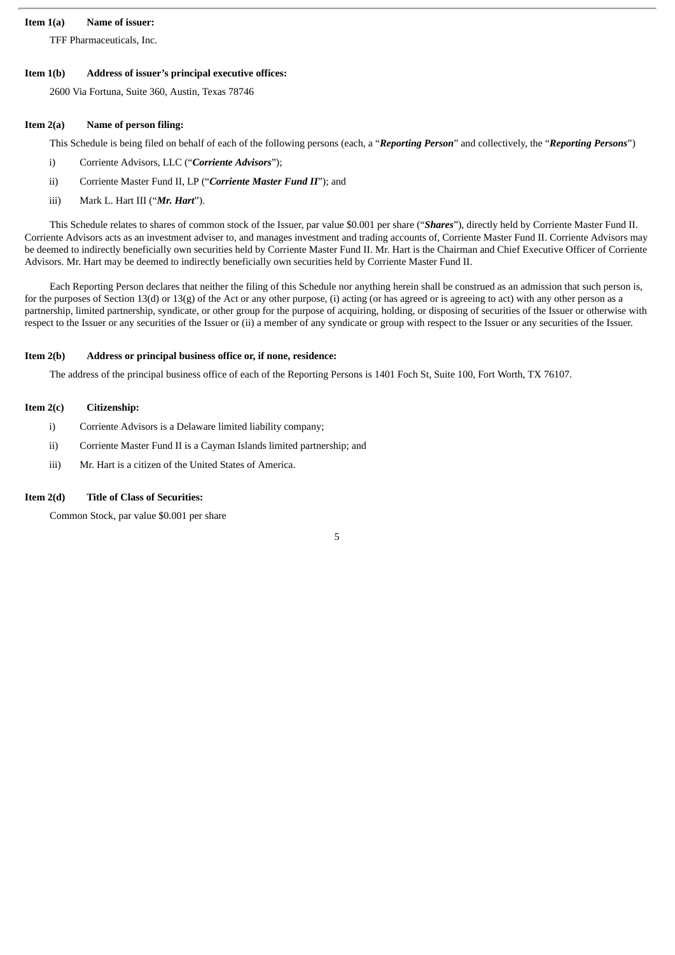#### **Item 1(a) Name of issuer:**

TFF Pharmaceuticals, Inc.

#### **Item 1(b) Address of issuer's principal executive offices:**

2600 Via Fortuna, Suite 360, Austin, Texas 78746

#### **Item 2(a) Name of person filing:**

This Schedule is being filed on behalf of each of the following persons (each, a "*Reporting Person*" and collectively, the "*Reporting Persons*")

- i) Corriente Advisors, LLC ("*Corriente Advisors*");
- ii) Corriente Master Fund II, LP ("*Corriente Master Fund II*"); and
- iii) Mark L. Hart III ("*Mr. Hart*").

This Schedule relates to shares of common stock of the Issuer, par value \$0.001 per share ("*Shares*"), directly held by Corriente Master Fund II. Corriente Advisors acts as an investment adviser to, and manages investment and trading accounts of, Corriente Master Fund II. Corriente Advisors may be deemed to indirectly beneficially own securities held by Corriente Master Fund II. Mr. Hart is the Chairman and Chief Executive Officer of Corriente Advisors. Mr. Hart may be deemed to indirectly beneficially own securities held by Corriente Master Fund II.

Each Reporting Person declares that neither the filing of this Schedule nor anything herein shall be construed as an admission that such person is, for the purposes of Section 13(d) or 13(g) of the Act or any other purpose, (i) acting (or has agreed or is agreeing to act) with any other person as a partnership, limited partnership, syndicate, or other group for the purpose of acquiring, holding, or disposing of securities of the Issuer or otherwise with respect to the Issuer or any securities of the Issuer or (ii) a member of any syndicate or group with respect to the Issuer or any securities of the Issuer.

#### **Item 2(b) Address or principal business office or, if none, residence:**

The address of the principal business office of each of the Reporting Persons is 1401 Foch St, Suite 100, Fort Worth, TX 76107.

#### **Item 2(c) Citizenship:**

- i) Corriente Advisors is a Delaware limited liability company;
- ii) Corriente Master Fund II is a Cayman Islands limited partnership; and
- iii) Mr. Hart is a citizen of the United States of America.

#### **Item 2(d) Title of Class of Securities:**

Common Stock, par value \$0.001 per share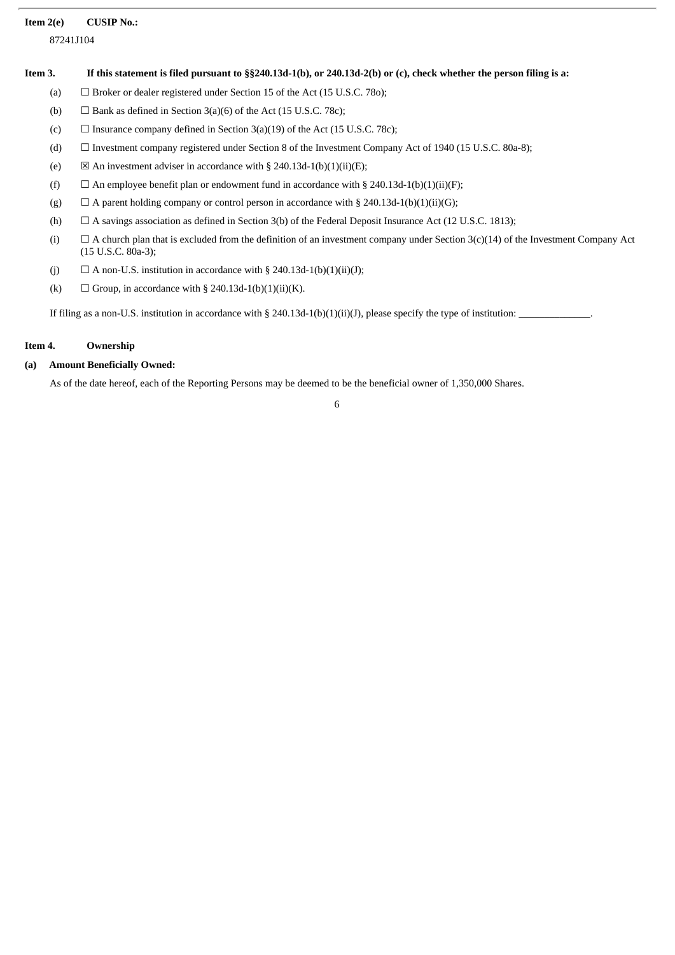#### **Item 2(e) CUSIP No.:**

87241J104

#### Item 3. If this statement is filed pursuant to §§240.13d-1(b), or 240.13d-2(b) or (c), check whether the person filing is a:

- (a)  $\Box$  Broker or dealer registered under Section 15 of the Act (15 U.S.C. 780);
- (b)  $\Box$  Bank as defined in Section 3(a)(6) of the Act (15 U.S.C. 78c);
- (c)  $\Box$  Insurance company defined in Section 3(a)(19) of the Act (15 U.S.C. 78c);
- (d) ☐ Investment company registered under Section 8 of the Investment Company Act of 1940 (15 U.S.C. 80a-8);
- (e)  $\boxtimes$  An investment adviser in accordance with § 240.13d-1(b)(1)(ii)(E);
- (f)  $\Box$  An employee benefit plan or endowment fund in accordance with § 240.13d-1(b)(1)(ii)(F);
- (g)  $\Box$  A parent holding company or control person in accordance with § 240.13d-1(b)(1)(ii)(G);
- (h)  $\Box$  A savings association as defined in Section 3(b) of the Federal Deposit Insurance Act (12 U.S.C. 1813);
- (i)  $\Box$  A church plan that is excluded from the definition of an investment company under Section 3(c)(14) of the Investment Company Act (15 U.S.C. 80a-3);
- (j)  $\Box$  A non-U.S. institution in accordance with § 240.13d-1(b)(1)(ii)(J);
- (k)  $\Box$  Group, in accordance with § 240.13d-1(b)(1)(ii)(K).

If filing as a non-U.S. institution in accordance with § 240.13d-1(b)(1)(ii)(J), please specify the type of institution:

#### **Item 4. Ownership**

### **(a) Amount Beneficially Owned:**

As of the date hereof, each of the Reporting Persons may be deemed to be the beneficial owner of 1,350,000 Shares.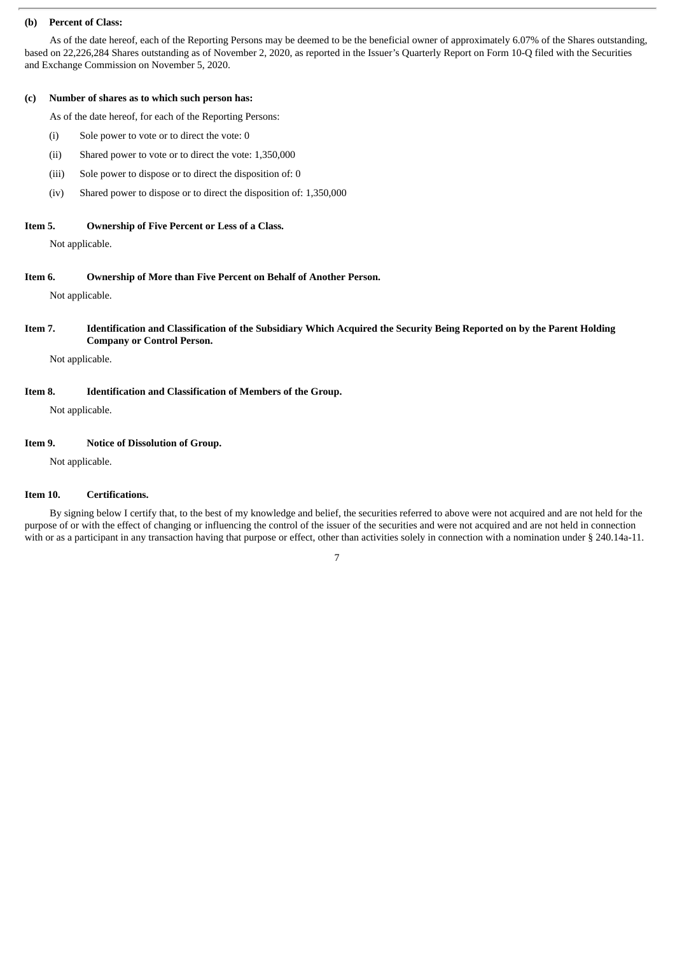#### **(b) Percent of Class:**

As of the date hereof, each of the Reporting Persons may be deemed to be the beneficial owner of approximately 6.07% of the Shares outstanding, based on 22,226,284 Shares outstanding as of November 2, 2020, as reported in the Issuer's Quarterly Report on Form 10-Q filed with the Securities and Exchange Commission on November 5, 2020.

#### **(c) Number of shares as to which such person has:**

As of the date hereof, for each of the Reporting Persons:

- (i) Sole power to vote or to direct the vote: 0
- (ii) Shared power to vote or to direct the vote: 1,350,000
- (iii) Sole power to dispose or to direct the disposition of: 0
- (iv) Shared power to dispose or to direct the disposition of: 1,350,000

#### **Item 5. Ownership of Five Percent or Less of a Class.**

Not applicable.

#### **Item 6. Ownership of More than Five Percent on Behalf of Another Person.**

Not applicable.

# Item 7. Identification and Classification of the Subsidiary Which Acquired the Security Being Reported on by the Parent Holding **Company or Control Person.**

Not applicable.

# **Item 8. Identification and Classification of Members of the Group.**

Not applicable.

#### **Item 9. Notice of Dissolution of Group.**

Not applicable.

# **Item 10. Certifications.**

By signing below I certify that, to the best of my knowledge and belief, the securities referred to above were not acquired and are not held for the purpose of or with the effect of changing or influencing the control of the issuer of the securities and were not acquired and are not held in connection with or as a participant in any transaction having that purpose or effect, other than activities solely in connection with a nomination under § 240.14a-11.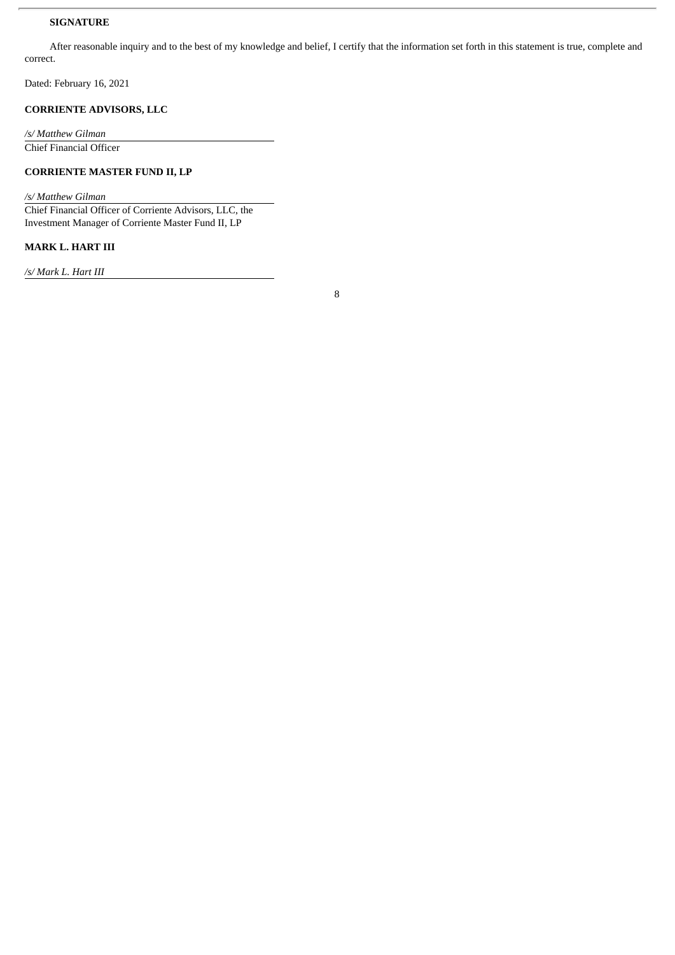# **SIGNATURE**

After reasonable inquiry and to the best of my knowledge and belief, I certify that the information set forth in this statement is true, complete and correct.

Dated: February 16, 2021

# **CORRIENTE ADVISORS, LLC**

*/s/ Matthew Gilman* Chief Financial Officer

**CORRIENTE MASTER FUND II, LP**

*/s/ Matthew Gilman*

Chief Financial Officer of Corriente Advisors, LLC, the Investment Manager of Corriente Master Fund II, LP

# **MARK L. HART III**

*/s/ Mark L. Hart III*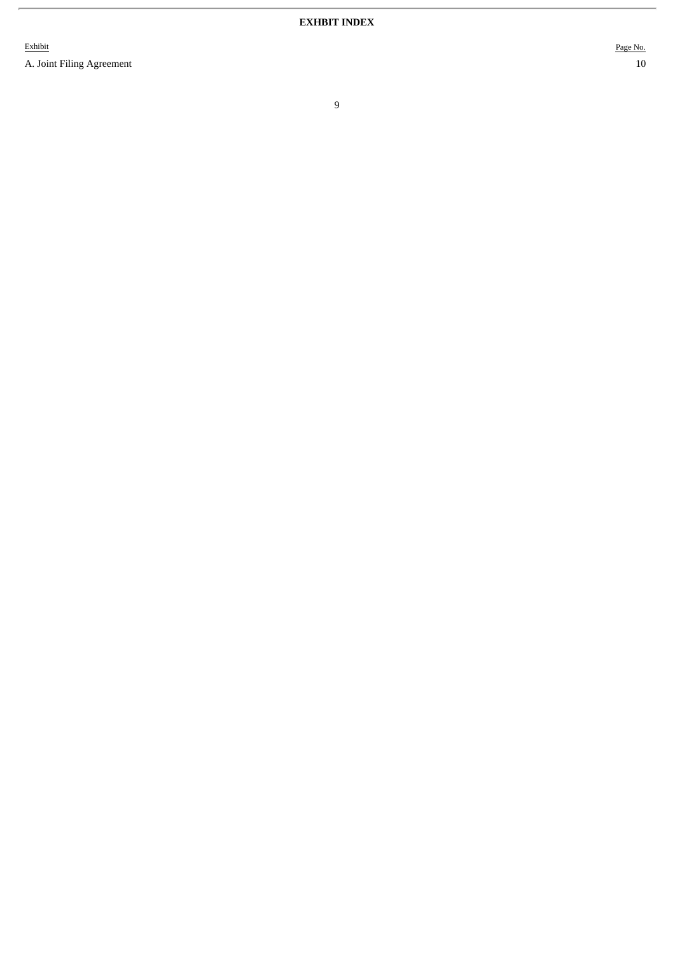Exhibit

A. Joint Filing Agreement 10